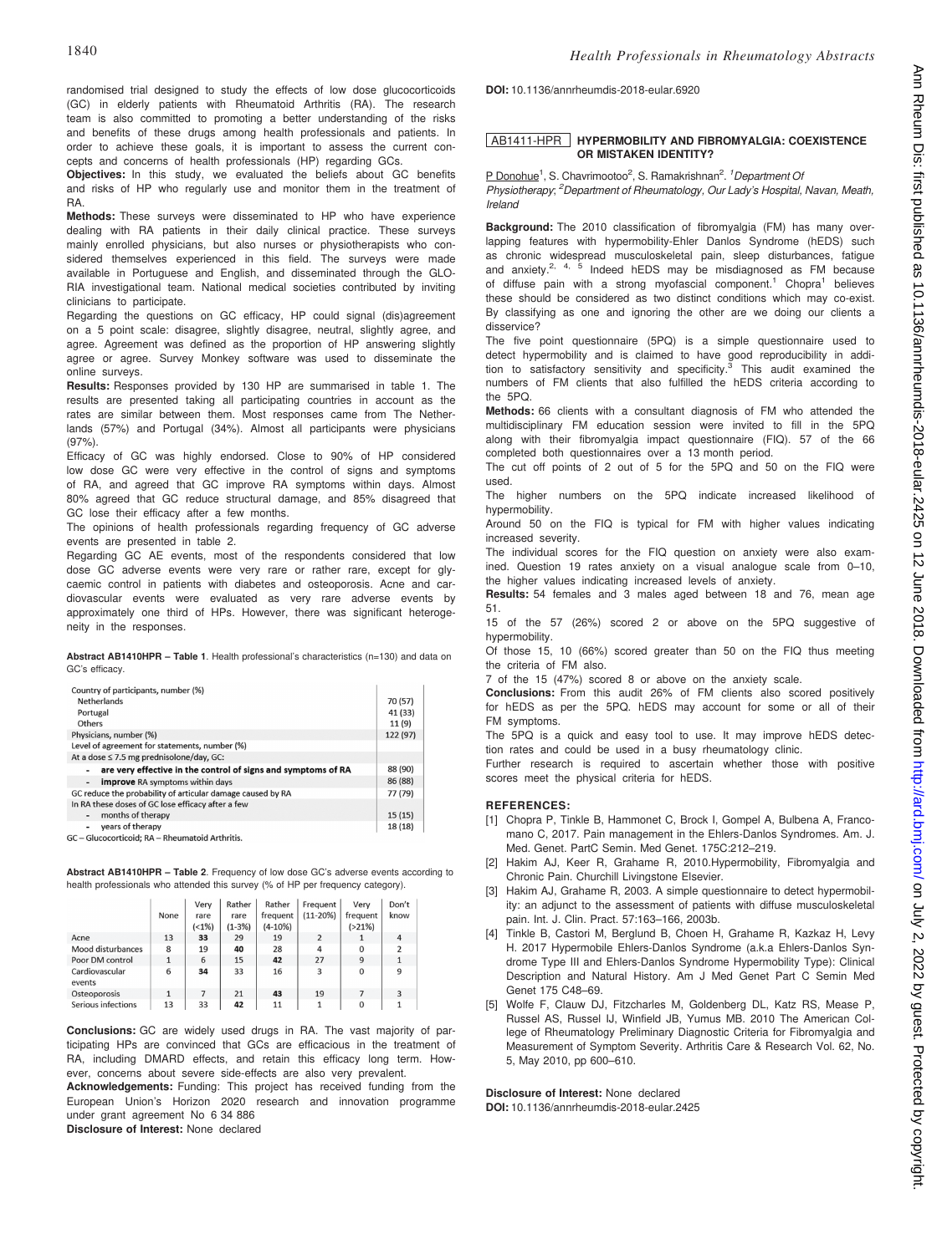DOI: 10.1136/annrheumdis-2018-eular.6920

## AB1411-HPR HYPERMOBILITY AND FIBROMYALGIA: COEXISTENCE OR MISTAKEN IDENTITY?

cepts and concerns of health professionals (HP) regarding GCs. Objectives: In this study, we evaluated the beliefs about GC benefits and risks of HP who regularly use and monitor them in the treatment of RA.

randomised trial designed to study the effects of low dose glucocorticoids (GC) in elderly patients with Rheumatoid Arthritis (RA). The research team is also committed to promoting a better understanding of the risks and benefits of these drugs among health professionals and patients. In order to achieve these goals, it is important to assess the current con-

Methods: These surveys were disseminated to HP who have experience dealing with RA patients in their daily clinical practice. These surveys mainly enrolled physicians, but also nurses or physiotherapists who considered themselves experienced in this field. The surveys were made available in Portuguese and English, and disseminated through the GLO-RIA investigational team. National medical societies contributed by inviting clinicians to participate.

Regarding the questions on GC efficacy, HP could signal (dis)agreement on a 5 point scale: disagree, slightly disagree, neutral, slightly agree, and agree. Agreement was defined as the proportion of HP answering slightly agree or agree. Survey Monkey software was used to disseminate the online surveys.

Results: Responses provided by 130 HP are summarised in table 1. The results are presented taking all participating countries in account as the rates are similar between them. Most responses came from The Netherlands (57%) and Portugal (34%). Almost all participants were physicians  $(97%).$ 

Efficacy of GC was highly endorsed. Close to 90% of HP considered low dose GC were very effective in the control of signs and symptoms of RA, and agreed that GC improve RA symptoms within days. Almost 80% agreed that GC reduce structural damage, and 85% disagreed that GC lose their efficacy after a few months.

The opinions of health professionals regarding frequency of GC adverse events are presented in table 2.

Regarding GC AE events, most of the respondents considered that low dose GC adverse events were very rare or rather rare, except for glycaemic control in patients with diabetes and osteoporosis. Acne and cardiovascular events were evaluated as very rare adverse events by approximately one third of HPs. However, there was significant heterogeneity in the responses.

Abstract AB1410HPR – Table 1. Health professional's characteristics (n=130) and data on GC's efficacy.

| Country of participants, number (%)                                |          |
|--------------------------------------------------------------------|----------|
| <b>Netherlands</b>                                                 | 70 (57)  |
| Portugal                                                           | 41 (33)  |
| Others                                                             | 11 (9)   |
| Physicians, number (%)                                             | 122 (97) |
| Level of agreement for statements, number (%)                      |          |
| At a dose $\leq$ 7.5 mg prednisolone/day, GC:                      |          |
| are very effective in the control of signs and symptoms of RA      | 88 (90)  |
| <b>improve</b> RA symptoms within days<br>$\overline{\phantom{a}}$ | 86 (88)  |
| GC reduce the probability of articular damage caused by RA         | 77 (79)  |
| In RA these doses of GC lose efficacy after a few                  |          |
| months of therapy<br>$\overline{\phantom{0}}$                      | 15(15)   |
| years of therapy                                                   | 18 (18)  |
| <b>GC</b> - Glucocorticoid: <b>PA</b> - Phoumatoid Arthritic       |          |

GC - Glucocorticoid; RA - Rheumatoid Arthritis

Abstract AB1410HPR – Table 2. Frequency of low dose GC's adverse events according to health professionals who attended this survey (% of HP per frequency category).

|                          |      | Very  | Rather   | Rather    | Frequent       | Very        | Don't                   |  |
|--------------------------|------|-------|----------|-----------|----------------|-------------|-------------------------|--|
|                          | None | rare  | rare     | frequent  | $(11-20%)$     | frequent    | know                    |  |
|                          |      | (<1%) | $(1-3%)$ | $(4-10%)$ |                | $( > 21\%)$ |                         |  |
| Acne                     | 13   | 33    | 29       | 19        | $\overline{2}$ |             | $\overline{4}$          |  |
| Mood disturbances        | 8    | 19    | 40       | 28        | 4              | $\Omega$    | $\overline{\mathbf{z}}$ |  |
| Poor DM control          |      | 6     | 15       | 42        | 27             | 9           | $\overline{1}$          |  |
| Cardiovascular<br>events | 6    | 34    | 33       | 16        | 3              | 0           | 9                       |  |
| Osteoporosis             |      |       | 21       | 43        | 19             |             | 3                       |  |
| Serious infections       | 13   | 33    | 42       | 11        |                | 0           | 1                       |  |

Conclusions: GC are widely used drugs in RA. The vast majority of participating HPs are convinced that GCs are efficacious in the treatment of RA, including DMARD effects, and retain this efficacy long term. However, concerns about severe side-effects are also very prevalent.

Acknowledgements: Funding: This project has received funding from the European Union's Horizon 2020 research and innovation programme under grant agreement No 6 34 886

Disclosure of Interest: None declared

P Donohue<sup>1</sup>, S. Chavrimootoo<sup>2</sup>, S. Ramakrishnan<sup>2</sup>. <sup>1</sup>Department O. Physiotherapy; <sup>2</sup>Department of Rheumatology, Our Lady's Hospital, Navan, Meath, Ireland

Backaround: The 2010 classification of fibromyalgia (FM) has many overlapping features with hypermobility-Ehler Danlos Syndrome (hEDS) such as chronic widespread musculoskeletal pain, sleep disturbances, fatigue and anxiety.<sup>2, 4, 5</sup> Indeed hEDS may be misdiagnosed as FM because of diffuse pain with a strong myofascial component.<sup>1</sup> Chopra<sup>1</sup> believes these should be considered as two distinct conditions which may co-exist. By classifying as one and ignoring the other are we doing our clients a disservice?

The five point questionnaire (5PQ) is a simple questionnaire used to detect hypermobility and is claimed to have good reproducibility in addition to satisfactory sensitivity and specificity.<sup>3</sup> This audit examined the numbers of FM clients that also fulfilled the hEDS criteria according to the 5PQ.

Methods: 66 clients with a consultant diagnosis of FM who attended the multidisciplinary FM education session were invited to fill in the 5PQ along with their fibromyalgia impact questionnaire (FIQ). 57 of the 66 completed both questionnaires over a 13 month period.

The cut off points of 2 out of 5 for the 5PQ and 50 on the FIQ were used.

The higher numbers on the 5PQ indicate increased likelihood of hypermobility.

Around 50 on the FIQ is typical for FM with higher values indicating increased severity.

The individual scores for the FIQ question on anxiety were also examined. Question 19 rates anxiety on a visual analogue scale from 0–10, the higher values indicating increased levels of anxiety.

Results: 54 females and 3 males aged between 18 and 76, mean age 51.

15 of the 57 (26%) scored 2 or above on the 5PQ suggestive of hypermobility.

Of those 15, 10 (66%) scored greater than 50 on the FIQ thus meeting the criteria of FM also.

7 of the 15 (47%) scored 8 or above on the anxiety scale.

Conclusions: From this audit 26% of FM clients also scored positively for hEDS as per the 5PQ. hEDS may account for some or all of their FM symptoms.

The 5PQ is a quick and easy tool to use. It may improve hEDS detection rates and could be used in a busy rheumatology clinic.

Further research is required to ascertain whether those with positive scores meet the physical criteria for hEDS.

### REFERENCES:

- [1] Chopra P, Tinkle B, Hammonet C, Brock I, Gompel A, Bulbena A, Francomano C, 2017. Pain management in the Ehlers-Danlos Syndromes. Am. J. Med. Genet. PartC Semin. Med Genet. 175C:212–219.
- [2] Hakim AJ, Keer R, Grahame R, 2010.Hypermobility, Fibromyalgia and Chronic Pain. Churchill Livingstone Elsevier.
- [3] Hakim AJ, Grahame R, 2003. A simple questionnaire to detect hypermobility: an adjunct to the assessment of patients with diffuse musculoskeletal pain. Int. J. Clin. Pract. 57:163–166, 2003b.
- [4] Tinkle B, Castori M, Berglund B, Choen H, Grahame R, Kazkaz H, Levy H. 2017 Hypermobile Ehlers-Danlos Syndrome (a.k.a Ehlers-Danlos Syndrome Type III and Ehlers-Danlos Syndrome Hypermobility Type): Clinical Description and Natural History. Am J Med Genet Part C Semin Med Genet 175 C48–69.
- [5] Wolfe F, Clauw DJ, Fitzcharles M, Goldenberg DL, Katz RS, Mease P, Russel AS, Russel IJ, Winfield JB, Yumus MB. 2010 The American College of Rheumatology Preliminary Diagnostic Criteria for Fibromyalgia and Measurement of Symptom Severity. Arthritis Care & Research Vol. 62, No. 5, May 2010, pp 600–610.

Disclosure of Interest: None declared DOI: 10.1136/annrheumdis-2018-eular.2425